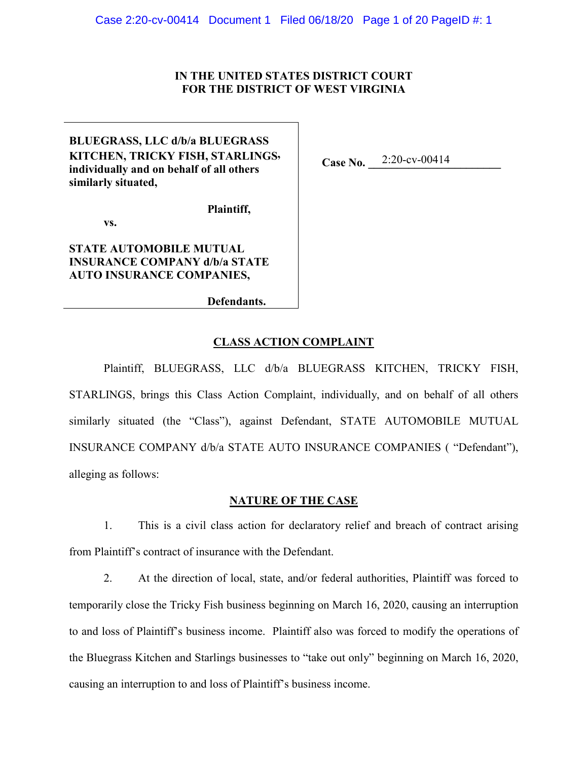## **IN THE UNITED STATES DISTRICT COURT FOR THE DISTRICT OF WEST VIRGINIA**

**BLUEGRASS, LLC d/b/a BLUEGRASS KITCHEN, TRICKY FISH, STARLINGS, individually and on behalf of all others similarly situated,**

**vs.** 

**STATE AUTOMOBILE MUTUAL INSURANCE COMPANY d/b/a STATE AUTO INSURANCE COMPANIES,** 

**Case No.** 2:20-cv-00414

**Defendants.**

**Plaintiff,**

### **CLASS ACTION COMPLAINT**

Plaintiff, BLUEGRASS, LLC d/b/a BLUEGRASS KITCHEN, TRICKY FISH, STARLINGS, brings this Class Action Complaint, individually, and on behalf of all others similarly situated (the "Class"), against Defendant, STATE AUTOMOBILE MUTUAL INSURANCE COMPANY d/b/a STATE AUTO INSURANCE COMPANIES ( "Defendant"), alleging as follows:

## **NATURE OF THE CASE**

1. This is a civil class action for declaratory relief and breach of contract arising from Plaintiff's contract of insurance with the Defendant.

2. At the direction of local, state, and/or federal authorities, Plaintiff was forced to temporarily close the Tricky Fish business beginning on March 16, 2020, causing an interruption to and loss of Plaintiff's business income. Plaintiff also was forced to modify the operations of the Bluegrass Kitchen and Starlings businesses to "take out only" beginning on March 16, 2020, causing an interruption to and loss of Plaintiff's business income.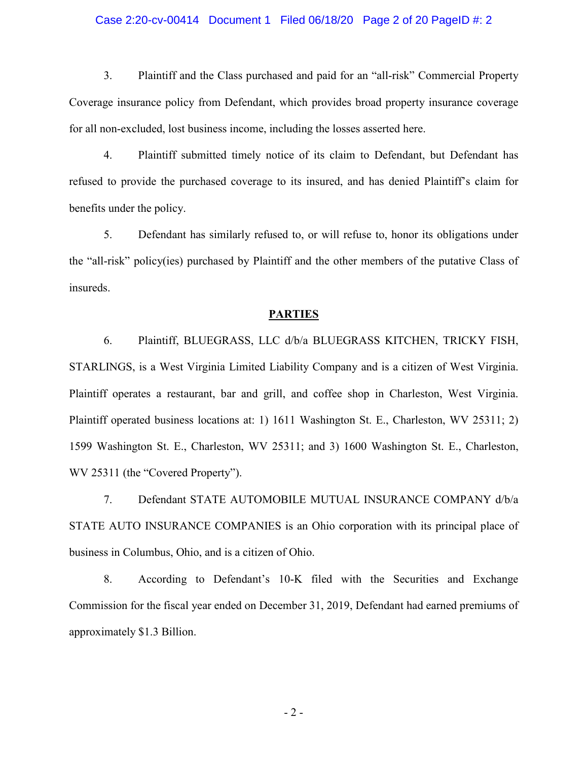#### Case 2:20-cv-00414 Document 1 Filed 06/18/20 Page 2 of 20 PageID #: 2

3. Plaintiff and the Class purchased and paid for an "all-risk" Commercial Property Coverage insurance policy from Defendant, which provides broad property insurance coverage for all non-excluded, lost business income, including the losses asserted here.

4. Plaintiff submitted timely notice of its claim to Defendant, but Defendant has refused to provide the purchased coverage to its insured, and has denied Plaintiff's claim for benefits under the policy.

5. Defendant has similarly refused to, or will refuse to, honor its obligations under the "all-risk" policy(ies) purchased by Plaintiff and the other members of the putative Class of insureds.

#### **PARTIES**

6. Plaintiff, BLUEGRASS, LLC d/b/a BLUEGRASS KITCHEN, TRICKY FISH, STARLINGS, is a West Virginia Limited Liability Company and is a citizen of West Virginia. Plaintiff operates a restaurant, bar and grill, and coffee shop in Charleston, West Virginia. Plaintiff operated business locations at: 1) 1611 Washington St. E., Charleston, WV 25311; 2) 1599 Washington St. E., Charleston, WV 25311; and 3) 1600 Washington St. E., Charleston, WV 25311 (the "Covered Property").

7. Defendant STATE AUTOMOBILE MUTUAL INSURANCE COMPANY d/b/a STATE AUTO INSURANCE COMPANIES is an Ohio corporation with its principal place of business in Columbus, Ohio, and is a citizen of Ohio.

8. According to Defendant's 10-K filed with the Securities and Exchange Commission for the fiscal year ended on December 31, 2019, Defendant had earned premiums of approximately \$1.3 Billion.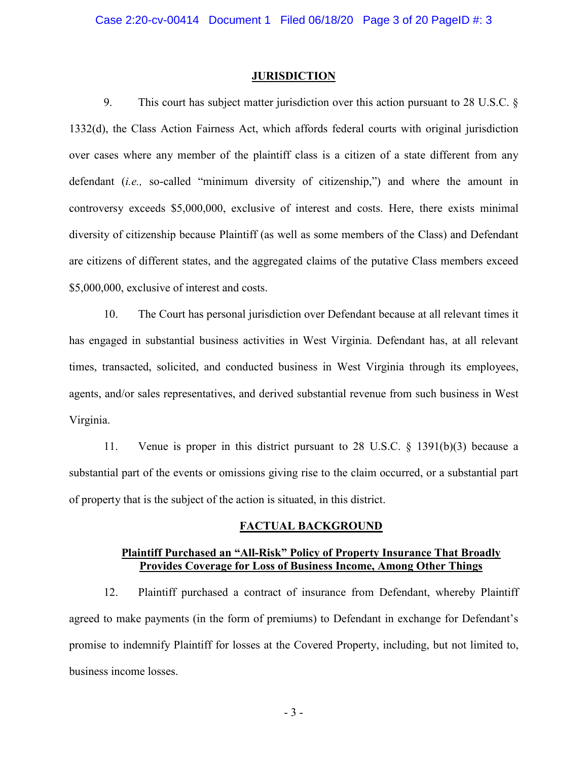#### **JURISDICTION**

9. This court has subject matter jurisdiction over this action pursuant to 28 U.S.C. § 1332(d), the Class Action Fairness Act, which affords federal courts with original jurisdiction over cases where any member of the plaintiff class is a citizen of a state different from any defendant (*i.e.,* so-called "minimum diversity of citizenship,") and where the amount in controversy exceeds \$5,000,000, exclusive of interest and costs. Here, there exists minimal diversity of citizenship because Plaintiff (as well as some members of the Class) and Defendant are citizens of different states, and the aggregated claims of the putative Class members exceed \$5,000,000, exclusive of interest and costs.

10. The Court has personal jurisdiction over Defendant because at all relevant times it has engaged in substantial business activities in West Virginia. Defendant has, at all relevant times, transacted, solicited, and conducted business in West Virginia through its employees, agents, and/or sales representatives, and derived substantial revenue from such business in West Virginia.

11. Venue is proper in this district pursuant to 28 U.S.C. § 1391(b)(3) because a substantial part of the events or omissions giving rise to the claim occurred, or a substantial part of property that is the subject of the action is situated, in this district.

### **FACTUAL BACKGROUND**

## **Plaintiff Purchased an "All-Risk" Policy of Property Insurance That Broadly Provides Coverage for Loss of Business Income, Among Other Things**

12. Plaintiff purchased a contract of insurance from Defendant, whereby Plaintiff agreed to make payments (in the form of premiums) to Defendant in exchange for Defendant's promise to indemnify Plaintiff for losses at the Covered Property, including, but not limited to, business income losses.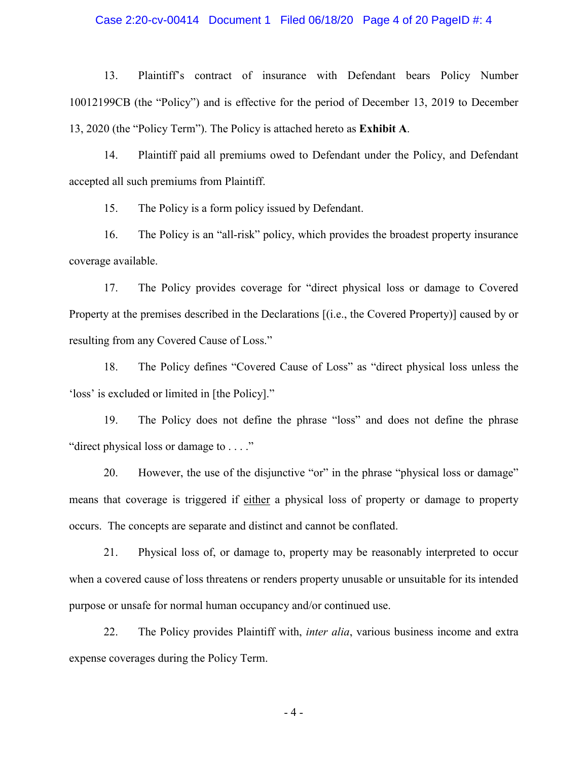#### Case 2:20-cv-00414 Document 1 Filed 06/18/20 Page 4 of 20 PageID #: 4

13. Plaintiff's contract of insurance with Defendant bears Policy Number 10012199CB (the "Policy") and is effective for the period of December 13, 2019 to December 13, 2020 (the "Policy Term"). The Policy is attached hereto as **Exhibit A**.

14. Plaintiff paid all premiums owed to Defendant under the Policy, and Defendant accepted all such premiums from Plaintiff.

15. The Policy is a form policy issued by Defendant.

16. The Policy is an "all-risk" policy, which provides the broadest property insurance coverage available.

17. The Policy provides coverage for "direct physical loss or damage to Covered Property at the premises described in the Declarations [(i.e., the Covered Property)] caused by or resulting from any Covered Cause of Loss."

18. The Policy defines "Covered Cause of Loss" as "direct physical loss unless the 'loss' is excluded or limited in [the Policy]."

19. The Policy does not define the phrase "loss" and does not define the phrase "direct physical loss or damage to . . . ."

20. However, the use of the disjunctive "or" in the phrase "physical loss or damage" means that coverage is triggered if either a physical loss of property or damage to property occurs. The concepts are separate and distinct and cannot be conflated.

21. Physical loss of, or damage to, property may be reasonably interpreted to occur when a covered cause of loss threatens or renders property unusable or unsuitable for its intended purpose or unsafe for normal human occupancy and/or continued use.

22. The Policy provides Plaintiff with, *inter alia*, various business income and extra expense coverages during the Policy Term.

- 4 -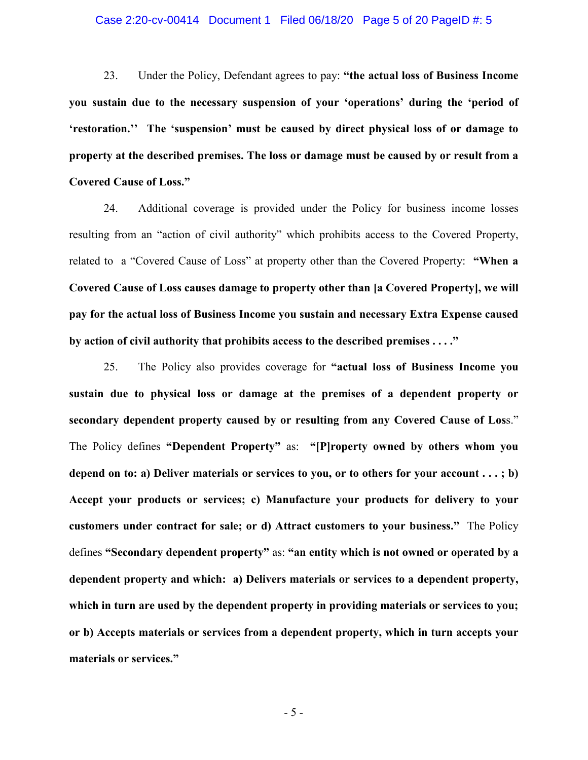#### Case 2:20-cv-00414 Document 1 Filed 06/18/20 Page 5 of 20 PageID #: 5

23. Under the Policy, Defendant agrees to pay: **"the actual loss of Business Income you sustain due to the necessary suspension of your 'operations' during the 'period of 'restoration.'' The 'suspension' must be caused by direct physical loss of or damage to property at the described premises. The loss or damage must be caused by or result from a Covered Cause of Loss."**

24. Additional coverage is provided under the Policy for business income losses resulting from an "action of civil authority" which prohibits access to the Covered Property, related to a "Covered Cause of Loss" at property other than the Covered Property: **"When a Covered Cause of Loss causes damage to property other than [a Covered Property], we will pay for the actual loss of Business Income you sustain and necessary Extra Expense caused by action of civil authority that prohibits access to the described premises . . . ."**

25. The Policy also provides coverage for **"actual loss of Business Income you sustain due to physical loss or damage at the premises of a dependent property or secondary dependent property caused by or resulting from any Covered Cause of Los**s." The Policy defines **"Dependent Property"** as: **"[P]roperty owned by others whom you depend on to: a) Deliver materials or services to you, or to others for your account . . . ; b) Accept your products or services; c) Manufacture your products for delivery to your customers under contract for sale; or d) Attract customers to your business."** The Policy defines **"Secondary dependent property"** as: **"an entity which is not owned or operated by a dependent property and which: a) Delivers materials or services to a dependent property, which in turn are used by the dependent property in providing materials or services to you; or b) Accepts materials or services from a dependent property, which in turn accepts your materials or services."**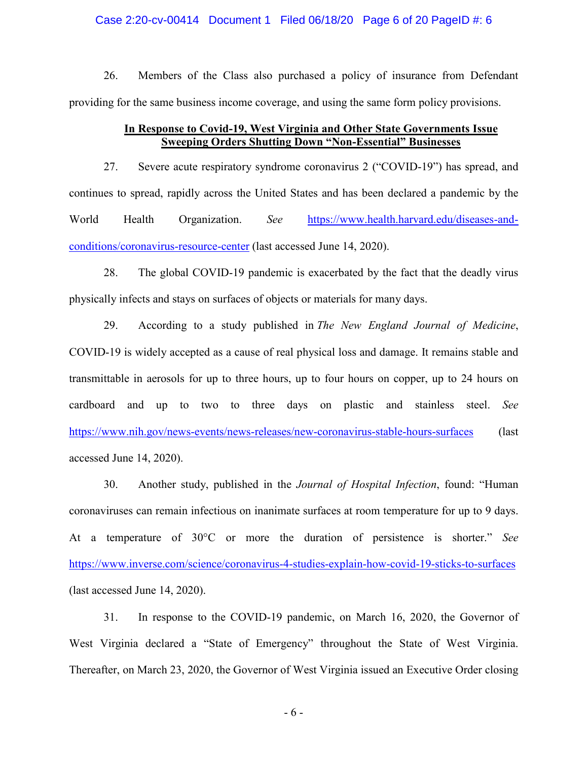#### Case 2:20-cv-00414 Document 1 Filed 06/18/20 Page 6 of 20 PageID #: 6

26. Members of the Class also purchased a policy of insurance from Defendant providing for the same business income coverage, and using the same form policy provisions.

## **In Response to Covid-19, West Virginia and Other State Governments Issue Sweeping Orders Shutting Down "Non-Essential" Businesses**

27. Severe acute respiratory syndrome coronavirus 2 ("COVID-19") has spread, and continues to spread, rapidly across the United States and has been declared a pandemic by the World Health Organization. *See* [https://www.health.harvard.edu/diseases-and](https://www.health.harvard.edu/diseases-and-conditions/coronavirus-resource-center)[conditions/coronavirus-resource-center](https://www.health.harvard.edu/diseases-and-conditions/coronavirus-resource-center) (last accessed June 14, 2020).

28. The global COVID-19 pandemic is exacerbated by the fact that the deadly virus physically infects and stays on surfaces of objects or materials for many days.

29. According to a study published in *The New England Journal of Medicine*, COVID-19 is widely accepted as a cause of real physical loss and damage. It remains stable and transmittable in aerosols for up to three hours, up to four hours on copper, up to 24 hours on cardboard and up to two to three days on plastic and stainless steel. *See*  <https://www.nih.gov/news-events/news-releases/new-coronavirus-stable-hours-surfaces> (last accessed June 14, 2020).

30. Another study, published in the *Journal of Hospital Infection*, found: "Human coronaviruses can remain infectious on inanimate surfaces at room temperature for up to 9 days. At a temperature of 30°C or more the duration of persistence is shorter." *See*  <https://www.inverse.com/science/coronavirus-4-studies-explain-how-covid-19-sticks-to-surfaces> (last accessed June 14, 2020).

31. In response to the COVID-19 pandemic, on March 16, 2020, the Governor of West Virginia declared a "State of Emergency" throughout the State of West Virginia. Thereafter, on March 23, 2020, the Governor of West Virginia issued an Executive Order closing

- 6 -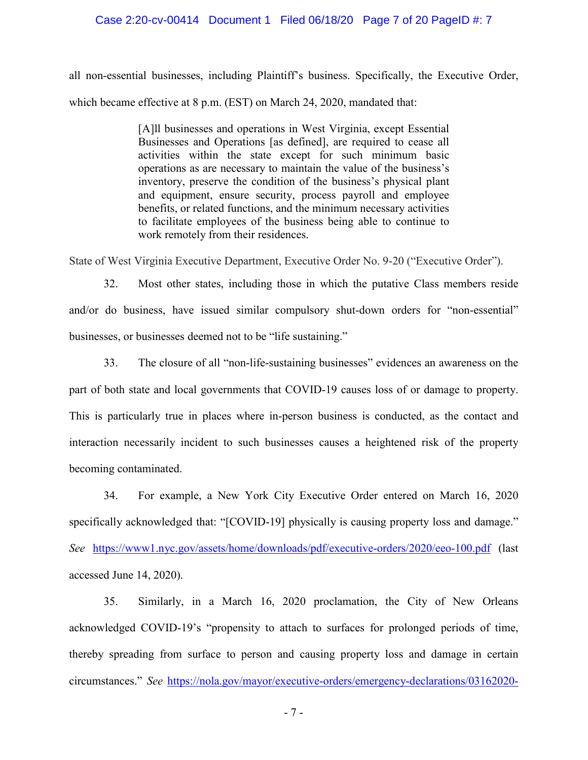### Case 2:20-cv-00414 Document 1 Filed 06/18/20 Page 7 of 20 PageID #: 7

all non-essential businesses, including Plaintiff's business. Specifically, the Executive Order, which became effective at 8 p.m. (EST) on March 24, 2020, mandated that:

> [A]ll businesses and operations in West Virginia, except Essential Businesses and Operations [as defined], are required to cease all activities within the state except for such minimum basic operations as are necessary to maintain the value of the business's inventory, preserve the condition of the business's physical plant and equipment, ensure security, process payroll and employee benefits, or related functions, and the minimum necessary activities to facilitate employees of the business being able to continue to work remotely from their residences.

State of West Virginia Executive Department, Executive Order No. 9-20 ("Executive Order").

32. Most other states, including those in which the putative Class members reside and/or do business, have issued similar compulsory shut-down orders for "non-essential" businesses, or businesses deemed not to be "life sustaining."

33. The closure of all "non-life-sustaining businesses" evidences an awareness on the part of both state and local governments that COVID-19 causes loss of or damage to property. This is particularly true in places where in-person business is conducted, as the contact and interaction necessarily incident to such businesses causes a heightened risk of the property becoming contaminated.

34. For example, a New York City Executive Order entered on March 16, 2020 specifically acknowledged that: "[COVID-19] physically is causing property loss and damage." *See* <https://www1.nyc.gov/assets/home/downloads/pdf/executive-orders/2020/eeo-100.pdf> (last accessed June 14, 2020).

35. Similarly, in a March 16, 2020 proclamation, the City of New Orleans acknowledged COVID-19's "propensity to attach to surfaces for prolonged periods of time, thereby spreading from surface to person and causing property loss and damage in certain circumstances." *See* [https://nola.gov/mayor/executive-orders/emergency-declarations/03162020-](https://nola.gov/mayor/executive-orders/emergency-declarations/03162020-mayoral-proclamation-to-promulgate-emergency-orders-during-the-state-of-emergency-due-to-co/)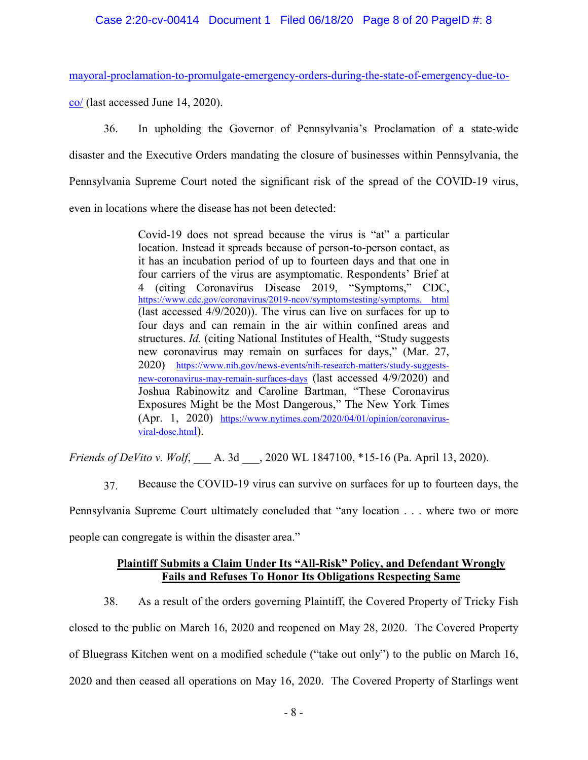## Case 2:20-cv-00414 Document 1 Filed 06/18/20 Page 8 of 20 PageID #: 8

[mayoral-proclamation-to-promulgate-emergency-orders-during-the-state-of-emergency-due-to-](https://nola.gov/mayor/executive-orders/emergency-declarations/03162020-mayoral-proclamation-to-promulgate-emergency-orders-during-the-state-of-emergency-due-to-co/)

[co/](https://nola.gov/mayor/executive-orders/emergency-declarations/03162020-mayoral-proclamation-to-promulgate-emergency-orders-during-the-state-of-emergency-due-to-co/) (last accessed June 14, 2020).

36. In upholding the Governor of Pennsylvania's Proclamation of a state-wide disaster and the Executive Orders mandating the closure of businesses within Pennsylvania, the Pennsylvania Supreme Court noted the significant risk of the spread of the COVID-19 virus, even in locations where the disease has not been detected:

> Covid-19 does not spread because the virus is "at" a particular location. Instead it spreads because of person-to-person contact, as it has an incubation period of up to fourteen days and that one in four carriers of the virus are asymptomatic. Respondents' Brief at 4 (citing Coronavirus Disease 2019, "Symptoms," CDC, [https://www.cdc.gov/coronavirus/2019-ncov/symptomstesting/symptoms. html](https://www.cdc.gov/coronavirus/2019-ncov/symptomstesting/symptoms.%20html) (last accessed 4/9/2020)). The virus can live on surfaces for up to four days and can remain in the air within confined areas and structures. *Id.* (citing National Institutes of Health, "Study suggests new coronavirus may remain on surfaces for days," (Mar. 27, 2020) [https://www.nih.gov/news-events/nih-research-matters/study-suggests](https://www.nih.gov/news-events/nih-research-matters/study-suggests-new-coronavirus-may-remain-surfaces-days)[new-coronavirus-may-remain-surfaces-days](https://www.nih.gov/news-events/nih-research-matters/study-suggests-new-coronavirus-may-remain-surfaces-days) (last accessed 4/9/2020) and Joshua Rabinowitz and Caroline Bartman, "These Coronavirus Exposures Might be the Most Dangerous," The New York Times  $(Apr. 1, 2020)$  [https://www.nytimes.com/2020/04/01/opinion/coronavirus](https://www.nytimes.com/2020/04/01/opinion/coronavirus-viral-dose.html)[viral-dose.html\)](https://www.nytimes.com/2020/04/01/opinion/coronavirus-viral-dose.html).

*Friends of DeVito v. Wolf*, \_\_\_ A. 3d \_\_\_, 2020 WL 1847100, \*15-16 (Pa. April 13, 2020).

37. Because the COVID-19 virus can survive on surfaces for up to fourteen days, the Pennsylvania Supreme Court ultimately concluded that "any location . . . where two or more people can congregate is within the disaster area."

# **Plaintiff Submits a Claim Under Its "All-Risk" Policy, and Defendant Wrongly Fails and Refuses To Honor Its Obligations Respecting Same**

38. As a result of the orders governing Plaintiff, the Covered Property of Tricky Fish closed to the public on March 16, 2020 and reopened on May 28, 2020. The Covered Property of Bluegrass Kitchen went on a modified schedule ("take out only") to the public on March 16, 2020 and then ceased all operations on May 16, 2020. The Covered Property of Starlings went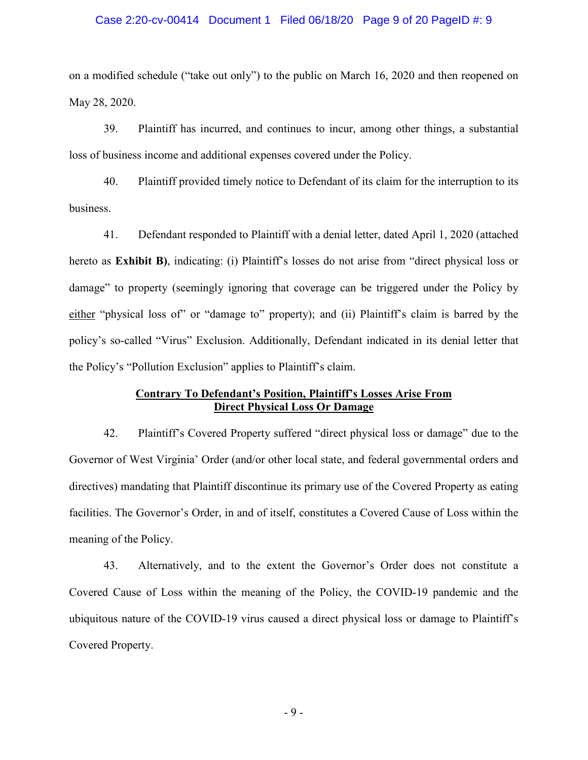#### Case 2:20-cv-00414 Document 1 Filed 06/18/20 Page 9 of 20 PageID #: 9

on a modified schedule ("take out only") to the public on March 16, 2020 and then reopened on May 28, 2020.

39. Plaintiff has incurred, and continues to incur, among other things, a substantial loss of business income and additional expenses covered under the Policy.

40. Plaintiff provided timely notice to Defendant of its claim for the interruption to its business.

41. Defendant responded to Plaintiff with a denial letter, dated April 1, 2020 (attached hereto as **Exhibit B)**, indicating: (i) Plaintiff's losses do not arise from "direct physical loss or damage" to property (seemingly ignoring that coverage can be triggered under the Policy by either "physical loss of" or "damage to" property); and (ii) Plaintiff's claim is barred by the policy's so-called "Virus" Exclusion. Additionally, Defendant indicated in its denial letter that the Policy's "Pollution Exclusion" applies to Plaintiff's claim.

## **Contrary To Defendant's Position, Plaintiff's Losses Arise From Direct Physical Loss Or Damage**

42. Plaintiff's Covered Property suffered "direct physical loss or damage" due to the Governor of West Virginia' Order (and/or other local state, and federal governmental orders and directives) mandating that Plaintiff discontinue its primary use of the Covered Property as eating facilities. The Governor's Order, in and of itself, constitutes a Covered Cause of Loss within the meaning of the Policy.

43. Alternatively, and to the extent the Governor's Order does not constitute a Covered Cause of Loss within the meaning of the Policy, the COVID-19 pandemic and the ubiquitous nature of the COVID-19 virus caused a direct physical loss or damage to Plaintiff's Covered Property.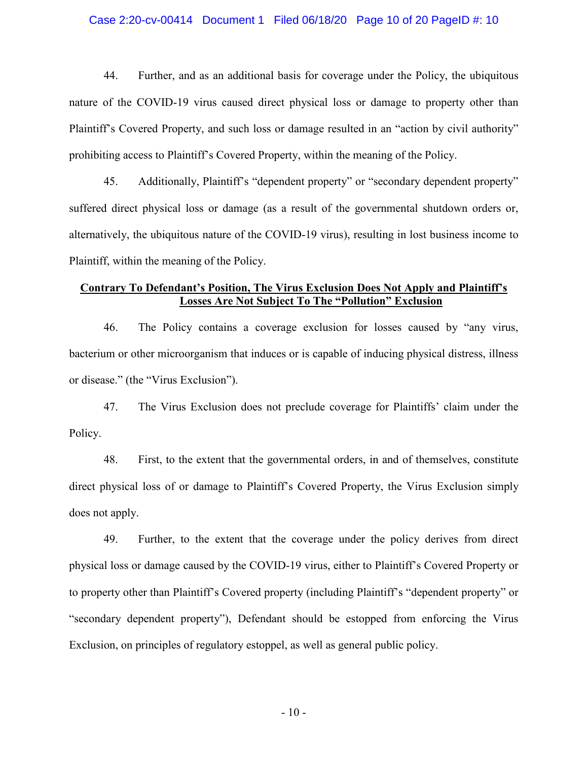#### Case 2:20-cv-00414 Document 1 Filed 06/18/20 Page 10 of 20 PageID #: 10

44. Further, and as an additional basis for coverage under the Policy, the ubiquitous nature of the COVID-19 virus caused direct physical loss or damage to property other than Plaintiff's Covered Property, and such loss or damage resulted in an "action by civil authority" prohibiting access to Plaintiff's Covered Property, within the meaning of the Policy.

45. Additionally, Plaintiff's "dependent property" or "secondary dependent property" suffered direct physical loss or damage (as a result of the governmental shutdown orders or, alternatively, the ubiquitous nature of the COVID-19 virus), resulting in lost business income to Plaintiff, within the meaning of the Policy.

# **Contrary To Defendant's Position, The Virus Exclusion Does Not Apply and Plaintiff's Losses Are Not Subject To The "Pollution" Exclusion**

46. The Policy contains a coverage exclusion for losses caused by "any virus, bacterium or other microorganism that induces or is capable of inducing physical distress, illness or disease." (the "Virus Exclusion").

47. The Virus Exclusion does not preclude coverage for Plaintiffs' claim under the Policy.

48. First, to the extent that the governmental orders, in and of themselves, constitute direct physical loss of or damage to Plaintiff's Covered Property, the Virus Exclusion simply does not apply.

49. Further, to the extent that the coverage under the policy derives from direct physical loss or damage caused by the COVID-19 virus, either to Plaintiff's Covered Property or to property other than Plaintiff's Covered property (including Plaintiff's "dependent property" or "secondary dependent property"), Defendant should be estopped from enforcing the Virus Exclusion, on principles of regulatory estoppel, as well as general public policy.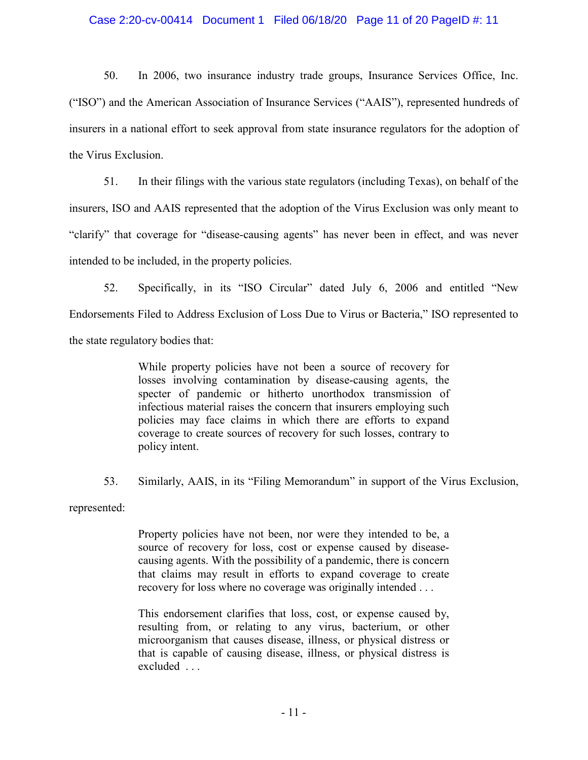## Case 2:20-cv-00414 Document 1 Filed 06/18/20 Page 11 of 20 PageID #: 11

50. In 2006, two insurance industry trade groups, Insurance Services Office, Inc. ("ISO") and the American Association of Insurance Services ("AAIS"), represented hundreds of insurers in a national effort to seek approval from state insurance regulators for the adoption of the Virus Exclusion.

51. In their filings with the various state regulators (including Texas), on behalf of the insurers, ISO and AAIS represented that the adoption of the Virus Exclusion was only meant to "clarify" that coverage for "disease-causing agents" has never been in effect, and was never intended to be included, in the property policies.

52. Specifically, in its "ISO Circular" dated July 6, 2006 and entitled "New Endorsements Filed to Address Exclusion of Loss Due to Virus or Bacteria," ISO represented to the state regulatory bodies that:

> While property policies have not been a source of recovery for losses involving contamination by disease-causing agents, the specter of pandemic or hitherto unorthodox transmission of infectious material raises the concern that insurers employing such policies may face claims in which there are efforts to expand coverage to create sources of recovery for such losses, contrary to policy intent.

53. Similarly, AAIS, in its "Filing Memorandum" in support of the Virus Exclusion,

represented:

Property policies have not been, nor were they intended to be, a source of recovery for loss, cost or expense caused by diseasecausing agents. With the possibility of a pandemic, there is concern that claims may result in efforts to expand coverage to create recovery for loss where no coverage was originally intended . . .

This endorsement clarifies that loss, cost, or expense caused by, resulting from, or relating to any virus, bacterium, or other microorganism that causes disease, illness, or physical distress or that is capable of causing disease, illness, or physical distress is excluded . . .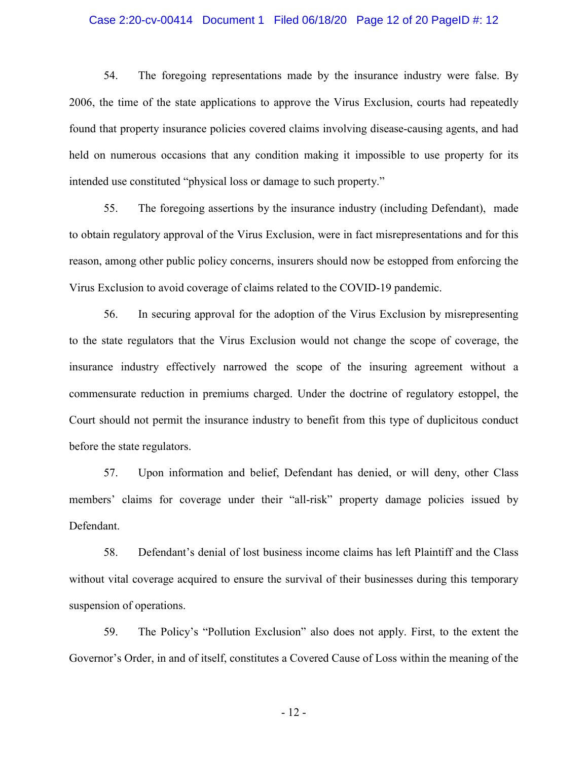#### Case 2:20-cv-00414 Document 1 Filed 06/18/20 Page 12 of 20 PageID #: 12

54. The foregoing representations made by the insurance industry were false. By 2006, the time of the state applications to approve the Virus Exclusion, courts had repeatedly found that property insurance policies covered claims involving disease-causing agents, and had held on numerous occasions that any condition making it impossible to use property for its intended use constituted "physical loss or damage to such property."

55. The foregoing assertions by the insurance industry (including Defendant), made to obtain regulatory approval of the Virus Exclusion, were in fact misrepresentations and for this reason, among other public policy concerns, insurers should now be estopped from enforcing the Virus Exclusion to avoid coverage of claims related to the COVID-19 pandemic.

56. In securing approval for the adoption of the Virus Exclusion by misrepresenting to the state regulators that the Virus Exclusion would not change the scope of coverage, the insurance industry effectively narrowed the scope of the insuring agreement without a commensurate reduction in premiums charged. Under the doctrine of regulatory estoppel, the Court should not permit the insurance industry to benefit from this type of duplicitous conduct before the state regulators.

57. Upon information and belief, Defendant has denied, or will deny, other Class members' claims for coverage under their "all-risk" property damage policies issued by Defendant.

58. Defendant's denial of lost business income claims has left Plaintiff and the Class without vital coverage acquired to ensure the survival of their businesses during this temporary suspension of operations.

59. The Policy's "Pollution Exclusion" also does not apply. First, to the extent the Governor's Order, in and of itself, constitutes a Covered Cause of Loss within the meaning of the

- 12 -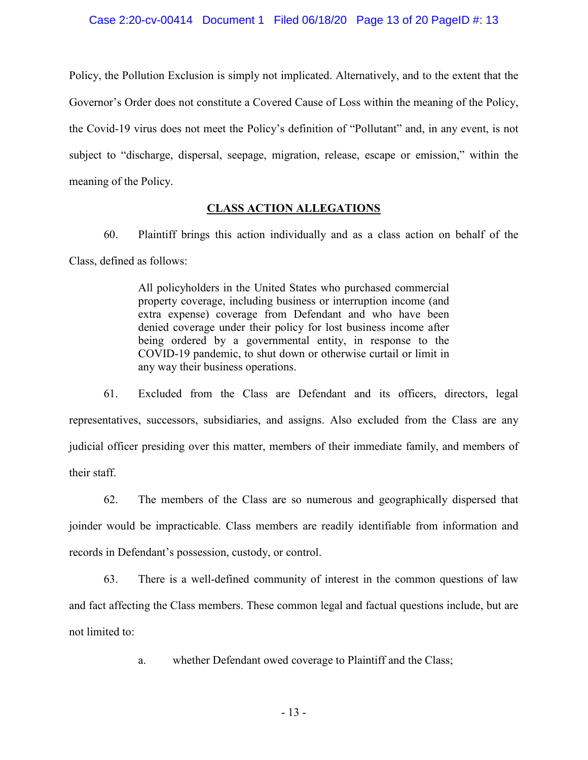Policy, the Pollution Exclusion is simply not implicated. Alternatively, and to the extent that the Governor's Order does not constitute a Covered Cause of Loss within the meaning of the Policy, the Covid-19 virus does not meet the Policy's definition of "Pollutant" and, in any event, is not subject to "discharge, dispersal, seepage, migration, release, escape or emission," within the meaning of the Policy.

# **CLASS ACTION ALLEGATIONS**

60. Plaintiff brings this action individually and as a class action on behalf of the Class, defined as follows:

> All policyholders in the United States who purchased commercial property coverage, including business or interruption income (and extra expense) coverage from Defendant and who have been denied coverage under their policy for lost business income after being ordered by a governmental entity, in response to the COVID-19 pandemic, to shut down or otherwise curtail or limit in any way their business operations.

61. Excluded from the Class are Defendant and its officers, directors, legal representatives, successors, subsidiaries, and assigns. Also excluded from the Class are any judicial officer presiding over this matter, members of their immediate family, and members of their staff.

62. The members of the Class are so numerous and geographically dispersed that joinder would be impracticable. Class members are readily identifiable from information and records in Defendant's possession, custody, or control.

63. There is a well-defined community of interest in the common questions of law and fact affecting the Class members. These common legal and factual questions include, but are not limited to:

a. whether Defendant owed coverage to Plaintiff and the Class;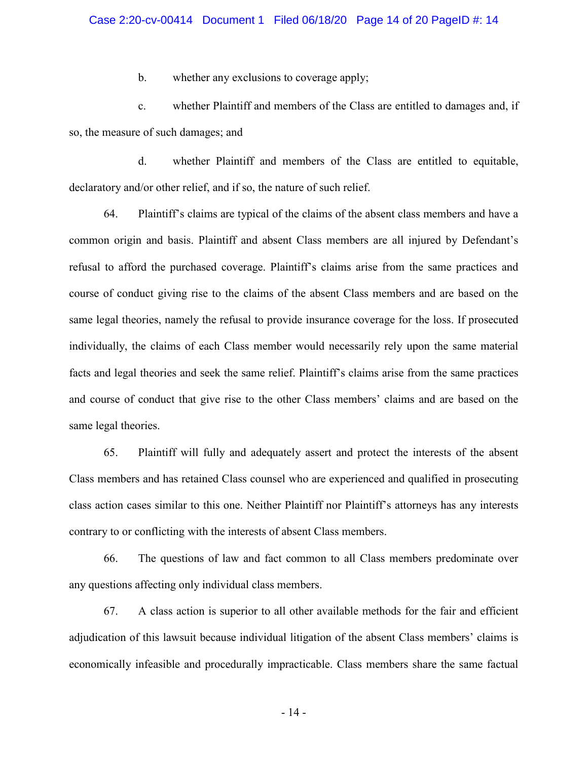## Case 2:20-cv-00414 Document 1 Filed 06/18/20 Page 14 of 20 PageID #: 14

b. whether any exclusions to coverage apply;

c. whether Plaintiff and members of the Class are entitled to damages and, if so, the measure of such damages; and

d. whether Plaintiff and members of the Class are entitled to equitable, declaratory and/or other relief, and if so, the nature of such relief.

64. Plaintiff's claims are typical of the claims of the absent class members and have a common origin and basis. Plaintiff and absent Class members are all injured by Defendant's refusal to afford the purchased coverage. Plaintiff's claims arise from the same practices and course of conduct giving rise to the claims of the absent Class members and are based on the same legal theories, namely the refusal to provide insurance coverage for the loss. If prosecuted individually, the claims of each Class member would necessarily rely upon the same material facts and legal theories and seek the same relief. Plaintiff's claims arise from the same practices and course of conduct that give rise to the other Class members' claims and are based on the same legal theories.

65. Plaintiff will fully and adequately assert and protect the interests of the absent Class members and has retained Class counsel who are experienced and qualified in prosecuting class action cases similar to this one. Neither Plaintiff nor Plaintiff's attorneys has any interests contrary to or conflicting with the interests of absent Class members.

66. The questions of law and fact common to all Class members predominate over any questions affecting only individual class members.

67. A class action is superior to all other available methods for the fair and efficient adjudication of this lawsuit because individual litigation of the absent Class members' claims is economically infeasible and procedurally impracticable. Class members share the same factual

- 14 -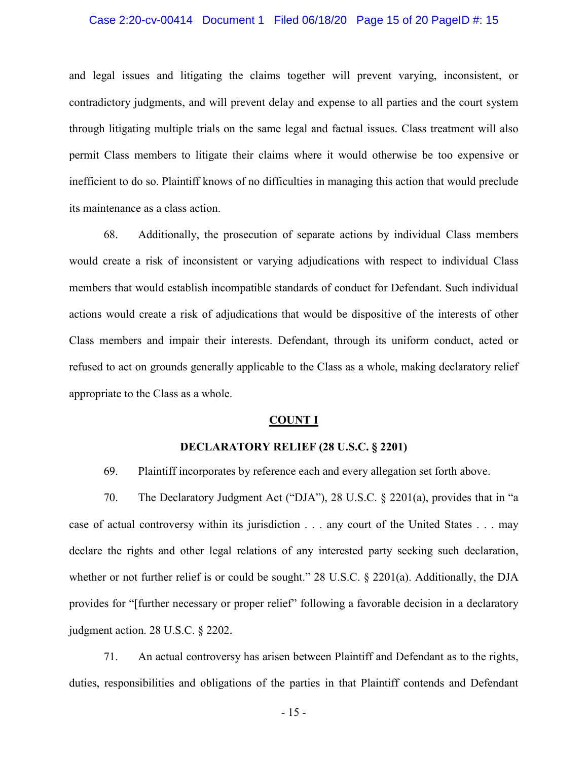## Case 2:20-cv-00414 Document 1 Filed 06/18/20 Page 15 of 20 PageID #: 15

and legal issues and litigating the claims together will prevent varying, inconsistent, or contradictory judgments, and will prevent delay and expense to all parties and the court system through litigating multiple trials on the same legal and factual issues. Class treatment will also permit Class members to litigate their claims where it would otherwise be too expensive or inefficient to do so. Plaintiff knows of no difficulties in managing this action that would preclude its maintenance as a class action.

68. Additionally, the prosecution of separate actions by individual Class members would create a risk of inconsistent or varying adjudications with respect to individual Class members that would establish incompatible standards of conduct for Defendant. Such individual actions would create a risk of adjudications that would be dispositive of the interests of other Class members and impair their interests. Defendant, through its uniform conduct, acted or refused to act on grounds generally applicable to the Class as a whole, making declaratory relief appropriate to the Class as a whole.

#### **COUNT I**

#### **DECLARATORY RELIEF (28 U.S.C. § 2201)**

69. Plaintiff incorporates by reference each and every allegation set forth above.

70. The Declaratory Judgment Act ("DJA"), 28 U.S.C. § 2201(a), provides that in "a case of actual controversy within its jurisdiction . . . any court of the United States . . . may declare the rights and other legal relations of any interested party seeking such declaration, whether or not further relief is or could be sought." 28 U.S.C. § 2201(a). Additionally, the DJA provides for "[further necessary or proper relief" following a favorable decision in a declaratory judgment action. 28 U.S.C. § 2202.

71. An actual controversy has arisen between Plaintiff and Defendant as to the rights, duties, responsibilities and obligations of the parties in that Plaintiff contends and Defendant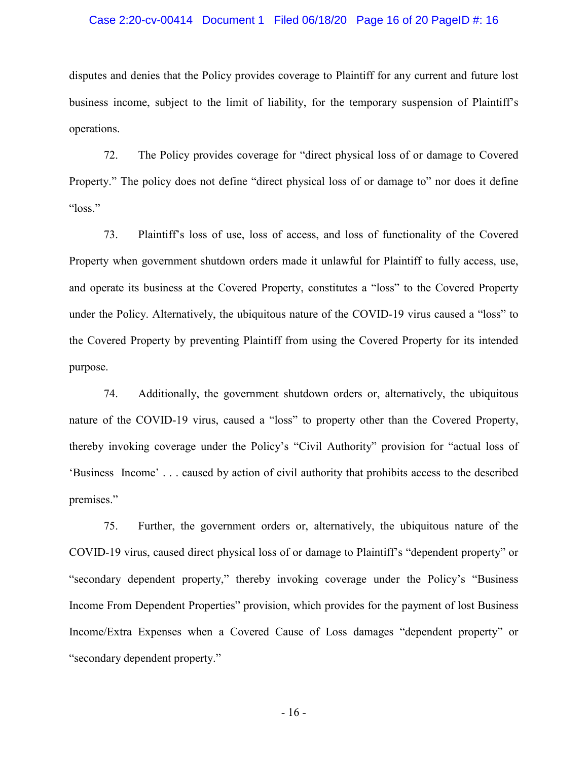#### Case 2:20-cv-00414 Document 1 Filed 06/18/20 Page 16 of 20 PageID #: 16

disputes and denies that the Policy provides coverage to Plaintiff for any current and future lost business income, subject to the limit of liability, for the temporary suspension of Plaintiff's operations.

72. The Policy provides coverage for "direct physical loss of or damage to Covered Property." The policy does not define "direct physical loss of or damage to" nor does it define "loss."

73. Plaintiff's loss of use, loss of access, and loss of functionality of the Covered Property when government shutdown orders made it unlawful for Plaintiff to fully access, use, and operate its business at the Covered Property, constitutes a "loss" to the Covered Property under the Policy. Alternatively, the ubiquitous nature of the COVID-19 virus caused a "loss" to the Covered Property by preventing Plaintiff from using the Covered Property for its intended purpose.

74. Additionally, the government shutdown orders or, alternatively, the ubiquitous nature of the COVID-19 virus, caused a "loss" to property other than the Covered Property, thereby invoking coverage under the Policy's "Civil Authority" provision for "actual loss of 'Business Income' . . . caused by action of civil authority that prohibits access to the described premises."

75. Further, the government orders or, alternatively, the ubiquitous nature of the COVID-19 virus, caused direct physical loss of or damage to Plaintiff's "dependent property" or "secondary dependent property," thereby invoking coverage under the Policy's "Business Income From Dependent Properties" provision, which provides for the payment of lost Business Income/Extra Expenses when a Covered Cause of Loss damages "dependent property" or "secondary dependent property."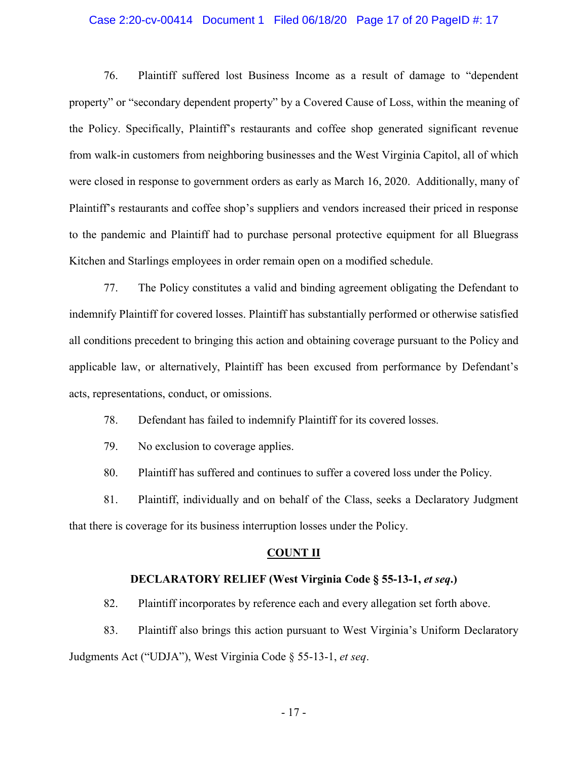## Case 2:20-cv-00414 Document 1 Filed 06/18/20 Page 17 of 20 PageID #: 17

76. Plaintiff suffered lost Business Income as a result of damage to "dependent property" or "secondary dependent property" by a Covered Cause of Loss, within the meaning of the Policy. Specifically, Plaintiff's restaurants and coffee shop generated significant revenue from walk-in customers from neighboring businesses and the West Virginia Capitol, all of which were closed in response to government orders as early as March 16, 2020. Additionally, many of Plaintiff's restaurants and coffee shop's suppliers and vendors increased their priced in response to the pandemic and Plaintiff had to purchase personal protective equipment for all Bluegrass Kitchen and Starlings employees in order remain open on a modified schedule.

77. The Policy constitutes a valid and binding agreement obligating the Defendant to indemnify Plaintiff for covered losses. Plaintiff has substantially performed or otherwise satisfied all conditions precedent to bringing this action and obtaining coverage pursuant to the Policy and applicable law, or alternatively, Plaintiff has been excused from performance by Defendant's acts, representations, conduct, or omissions.

78. Defendant has failed to indemnify Plaintiff for its covered losses.

79. No exclusion to coverage applies.

80. Plaintiff has suffered and continues to suffer a covered loss under the Policy.

81. Plaintiff, individually and on behalf of the Class, seeks a Declaratory Judgment that there is coverage for its business interruption losses under the Policy.

#### **COUNT II**

### **DECLARATORY RELIEF (West Virginia Code § 55-13-1,** *et seq***.)**

82. Plaintiff incorporates by reference each and every allegation set forth above.

83. Plaintiff also brings this action pursuant to West Virginia's Uniform Declaratory Judgments Act ("UDJA"), West Virginia Code § 55-13-1, *et seq*.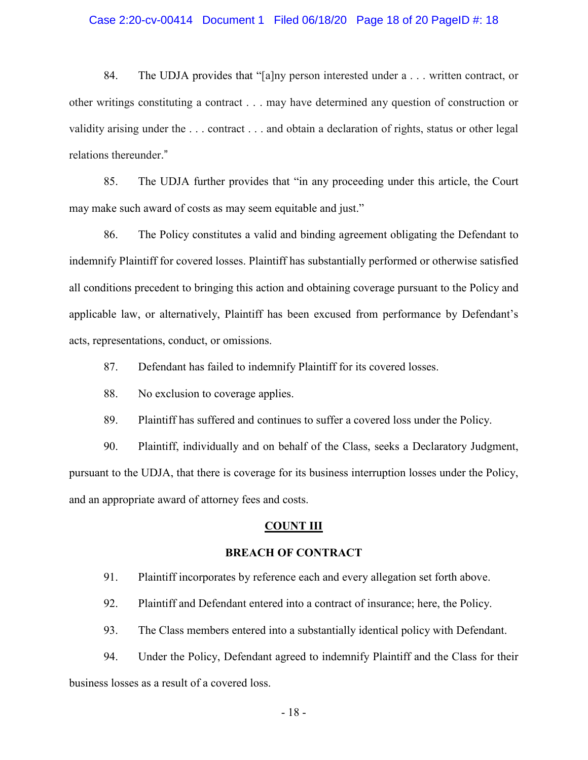## Case 2:20-cv-00414 Document 1 Filed 06/18/20 Page 18 of 20 PageID #: 18

84. The UDJA provides that "[a]ny person interested under a . . . written contract, or other writings constituting a contract . . . may have determined any question of construction or validity arising under the . . . contract . . . and obtain a declaration of rights, status or other legal relations thereunder."

85. The UDJA further provides that "in any proceeding under this article, the Court may make such award of costs as may seem equitable and just."

86. The Policy constitutes a valid and binding agreement obligating the Defendant to indemnify Plaintiff for covered losses. Plaintiff has substantially performed or otherwise satisfied all conditions precedent to bringing this action and obtaining coverage pursuant to the Policy and applicable law, or alternatively, Plaintiff has been excused from performance by Defendant's acts, representations, conduct, or omissions.

87. Defendant has failed to indemnify Plaintiff for its covered losses.

- 88. No exclusion to coverage applies.
- 89. Plaintiff has suffered and continues to suffer a covered loss under the Policy.

90. Plaintiff, individually and on behalf of the Class, seeks a Declaratory Judgment, pursuant to the UDJA, that there is coverage for its business interruption losses under the Policy, and an appropriate award of attorney fees and costs.

### **COUNT III**

### **BREACH OF CONTRACT**

91. Plaintiff incorporates by reference each and every allegation set forth above.

92. Plaintiff and Defendant entered into a contract of insurance; here, the Policy.

93. The Class members entered into a substantially identical policy with Defendant.

94. Under the Policy, Defendant agreed to indemnify Plaintiff and the Class for their business losses as a result of a covered loss.

- 18 -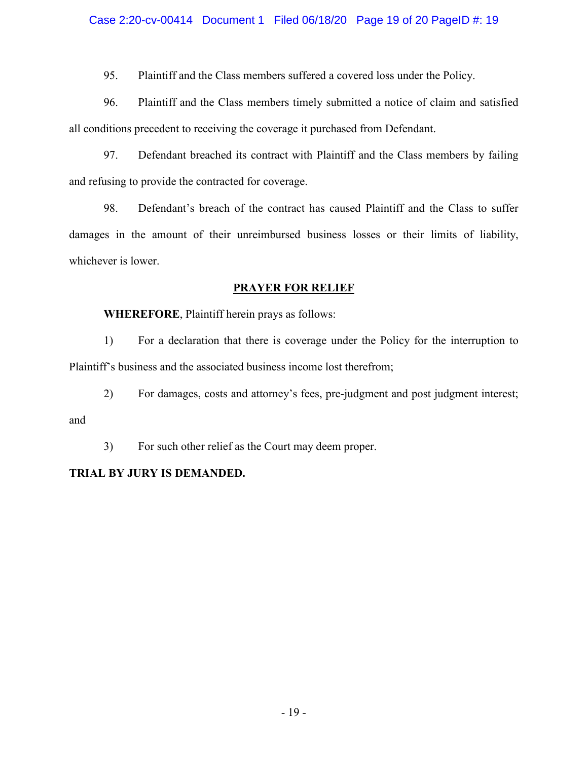## Case 2:20-cv-00414 Document 1 Filed 06/18/20 Page 19 of 20 PageID #: 19

95. Plaintiff and the Class members suffered a covered loss under the Policy.

96. Plaintiff and the Class members timely submitted a notice of claim and satisfied all conditions precedent to receiving the coverage it purchased from Defendant.

97. Defendant breached its contract with Plaintiff and the Class members by failing and refusing to provide the contracted for coverage.

98. Defendant's breach of the contract has caused Plaintiff and the Class to suffer damages in the amount of their unreimbursed business losses or their limits of liability, whichever is lower.

# **PRAYER FOR RELIEF**

**WHEREFORE**, Plaintiff herein prays as follows:

1) For a declaration that there is coverage under the Policy for the interruption to Plaintiff's business and the associated business income lost therefrom;

2) For damages, costs and attorney's fees, pre-judgment and post judgment interest; and

3) For such other relief as the Court may deem proper.

# **TRIAL BY JURY IS DEMANDED.**